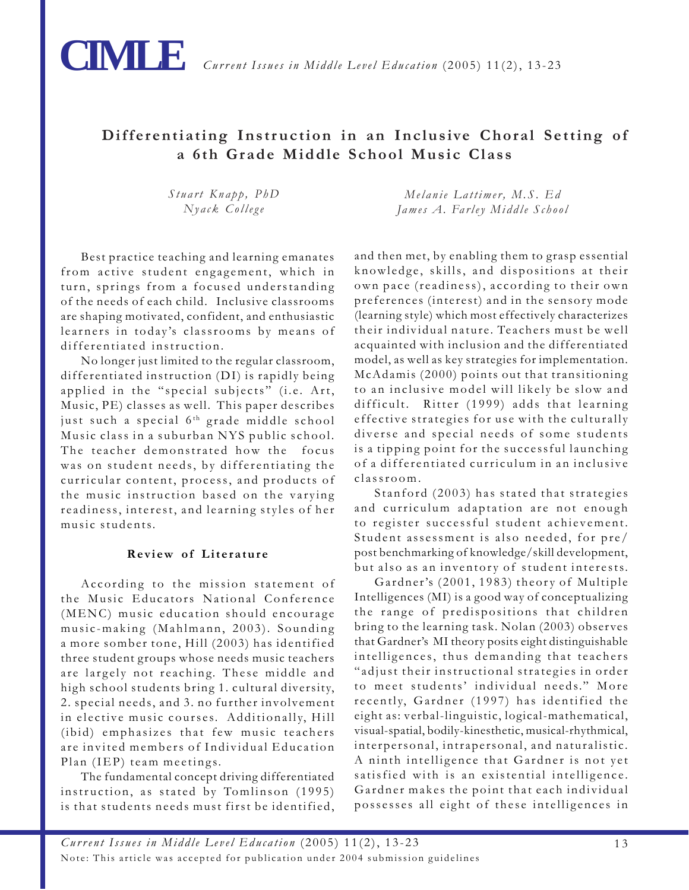

## **Differentiating Instruction in an Inclusive Choral Setting of a 6th Grade Middle School Music Class**

*Stuart Knapp, PhD Nyack College*

Best practice teaching and learning emanates from active student engagement, which in turn, springs from a focused understanding of the needs of each child. Inclusive classrooms are shaping motivated, confident, and enthusiastic learners in today's classrooms by means of differentiated instruction.

No longer just limited to the regular classroom, differentiated instruction (DI) is rapidly being applied in the "special subjects" (i.e. Art, Music, PE) classes as well. This paper describes just such a special 6<sup>th</sup> grade middle school Music class in a suburban NYS public school. The teacher demonstrated how the focus was on student needs, by differentiating the curricular content, process, and products of the music instruction based on the varying readiness, interest, and learning styles of her music students.

### **Review of Literature**

According to the mission statement of the Music Educators National Conference (MENC) music education should encourage music-making (Mahlmann, 2003). Sounding a more somber tone, Hill (2003) has identified three student groups whose needs music teachers are largely not reaching. These middle and high school students bring 1. cultural diversity, 2. special needs, and 3. no further involvement in elective music courses. Additionally, Hill (ibid) emphasizes that few music teachers are invited members of Individual Education Plan (IEP) team meetings.

The fundamental concept driving differentiated instruction, as stated by Tomlinson (1995) is that students needs must first be identified,

*Melanie Lattimer, M.S. Ed James A. Farley Middle School*

and then met, by enabling them to grasp essential knowledge, skills, and dispositions at their own pace (readiness), according to their own preferences (interest) and in the sensory mode (learning style) which most effectively characterizes their individual nature. Teachers must be well acquainted with inclusion and the differentiated model, as well as key strategies for implementation. McAdamis (2000) points out that transitioning to an inclusive model will likely be slow and difficult. Ritter (1999) adds that learning effective strategies for use with the culturally diverse and special needs of some students is a tipping point for the successful launching of a differentiated curriculum in an inclusive classroom.

Stanford (2003) has stated that strategies and curriculum adaptation are not enough to register successful student achievement. Student assessment is also needed, for pre/ post benchmarking of knowledge/skill development, but also as an inventory of student interests.

Gardner's (2001, 1983) theory of Multiple Intelligences (MI) is a good way of conceptualizing the range of predispositions that children bring to the learning task. Nolan (2003) observes that Gardner's MI theory posits eight distinguishable intelligences, thus demanding that teachers "adjust their instructional strategies in order to meet students' individual needs." More recently, Gardner (1997) has identified the eight as: verbal-linguistic, logical-mathematical, visual-spatial, bodily-kinesthetic, musical-rhythmical, interpersonal, intrapersonal, and naturalistic. A ninth intelligence that Gardner is not yet satisfied with is an existential intelligence. Gardner makes the point that each individual possesses all eight of these intelligences in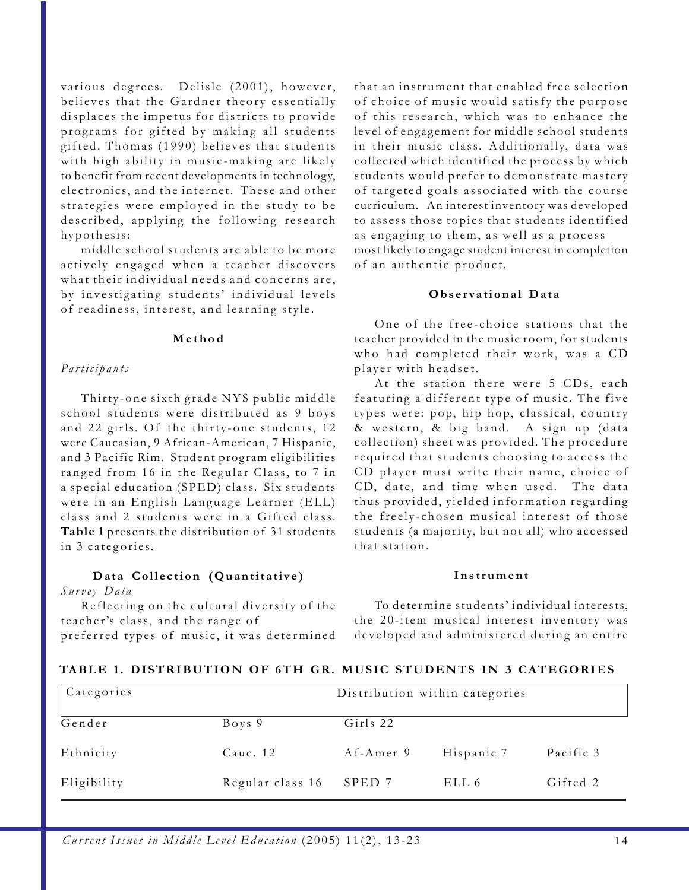various degrees. Delisle (2001), however, believes that the Gardner theory essentially displaces the impetus for districts to provide programs for gifted by making all students gifted. Thomas (1990) believes that students with high ability in music-making are likely to benefit from recent developments in technology, electronics, and the internet. These and other strategies were employed in the study to be described, applying the following research hypothesis:

middle school students are able to be more actively engaged when a teacher discovers what their individual needs and concerns are, by investigating students' individual levels of readiness, interest, and learning style.

#### **Method**

#### *Participants*

Thirty-one sixth grade NYS public middle school students were distributed as 9 boys and 22 girls. Of the thirty-one students, 12 were Caucasian, 9 African-American, 7 Hispanic, and 3 Pacific Rim. Student program eligibilities ranged from 16 in the Regular Class, to 7 in a special education (SPED) class. Six students were in an English Language Learner (ELL) class and 2 students were in a Gifted class. **Table 1** presents the distribution of 31 students in 3 categories.

### **Data Collection (Quantitative)**

*Survey Data*

Reflecting on the cultural diversity of the teacher's class, and the range of preferred types of music, it was determined that an instrument that enabled free selection of choice of music would satisfy the purpose of this research, which was to enhance the level of engagement for middle school students in their music class. Additionally, data was collected which identified the process by which students would prefer to demonstrate mastery of targeted goals associated with the course curriculum. An interest inventory was developed to assess those topics that students identified as engaging to them, as well as a process most likely to engage student interest in completion of an authentic product.

#### **Observational Data**

One of the free-choice stations that the teacher provided in the music room, for students who had completed their work, was a CD player with headset.

At the station there were 5 CDs, each featuring a different type of music. The five types were: pop, hip hop, classical, country & western, & big band. A sign up (data collection) sheet was provided. The procedure required that students choosing to access the CD player must write their name, choice of CD, date, and time when used. The data thus provided, yielded information regarding the freely-chosen musical interest of those students (a majority, but not all) who accessed that station.

#### **Instrument**

To determine students' individual interests, the 20-item musical interest inventory was developed and administered during an entire

### **TABLE 1. DISTRIBUTION OF 6TH GR. MUSIC STUDENTS IN 3 CATEGORIES**

| Categories<br>Distribution within categories |                  |           |            |           |
|----------------------------------------------|------------------|-----------|------------|-----------|
| Gender                                       | Boys 9           | Girls 22  |            |           |
| Ethnicity                                    | Cauc. 12         | Af-Amer 9 | Hispanic 7 | Pacific 3 |
| Eligibility                                  | Regular class 16 | SPED 7    | ELL 6      | Gifted 2  |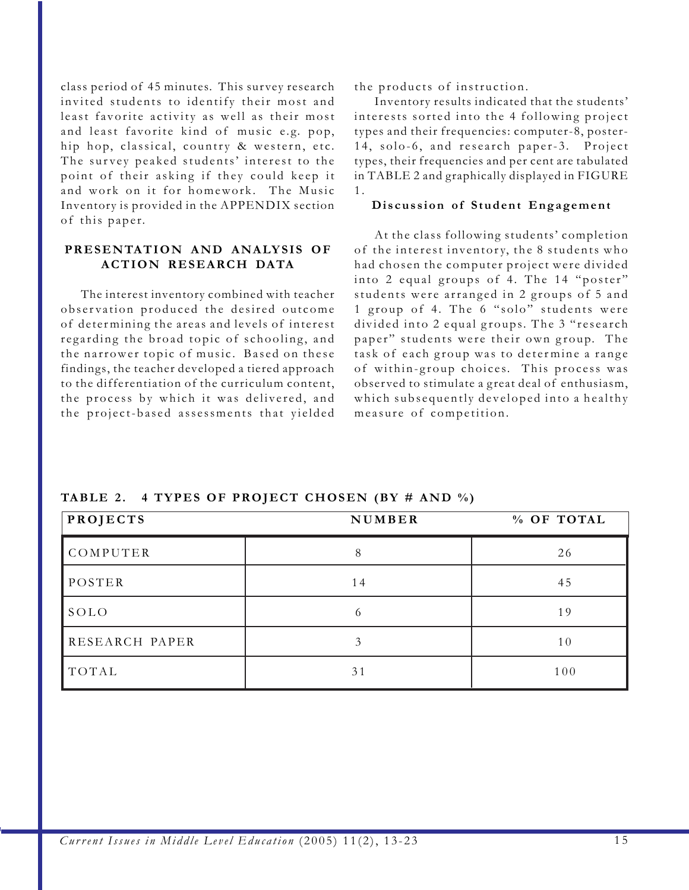class period of 45 minutes. This sur vey research invited students to identify their most and least favorite activity as well as their most and least favorite kind of music e.g. pop, hip hop, classical, country & western, etc. The survey peaked students' interest to the point of their asking if they could keep it and work on it for homework. The Music Inventory is provided in the APPENDIX section of this paper.

## **PRESENTATION AND ANALYSIS OF ACTION RESEARCH DATA**

The interest inventory combined with teacher observation produced the desired outcome of determining the areas and levels of interest regarding the broad topic of schooling, and the narrower topic of music. Based on these findings, the teacher developed a tiered approach to the differentiation of the curriculum content, the process by which it was delivered, and the project-based assessments that yielded the products of instruction.

Inventory results indicated that the students' interests sorted into the 4 following project types and their frequencies: computer-8, poster-14, solo-6, and research paper-3. Project types, their frequencies and per cent are tabulated in TABLE 2 and graphically displayed in FIGURE  $1<sub>1</sub>$ 

#### **Discussion of Student Engagement**

At the class following students' completion of the interest inventory, the 8 students who had chosen the computer project were divided into 2 equal groups of 4. The 14 "poster" students were arranged in 2 groups of 5 and 1 group of 4. The 6 "solo" students were divided into 2 equal groups. The 3 "research paper" students were their own group. The task of each group was to determine a range of within-group choices. This process was observed to stimulate a great deal of enthusiasm, which subsequently developed into a healthy measure of competition.

| PROJECTS       | NUMBER | % OF TOTAL |  |
|----------------|--------|------------|--|
| COMPUTER       | 8      | 26         |  |
| POSTER         | 14     | 45         |  |
| SOLO           | 6      | 19         |  |
| RESEARCH PAPER |        | 10         |  |
| TOTAL          | 31     | 100        |  |

**TABLE 2. 4 TYPES OF PROJECT CHOSEN (BY # AND %)**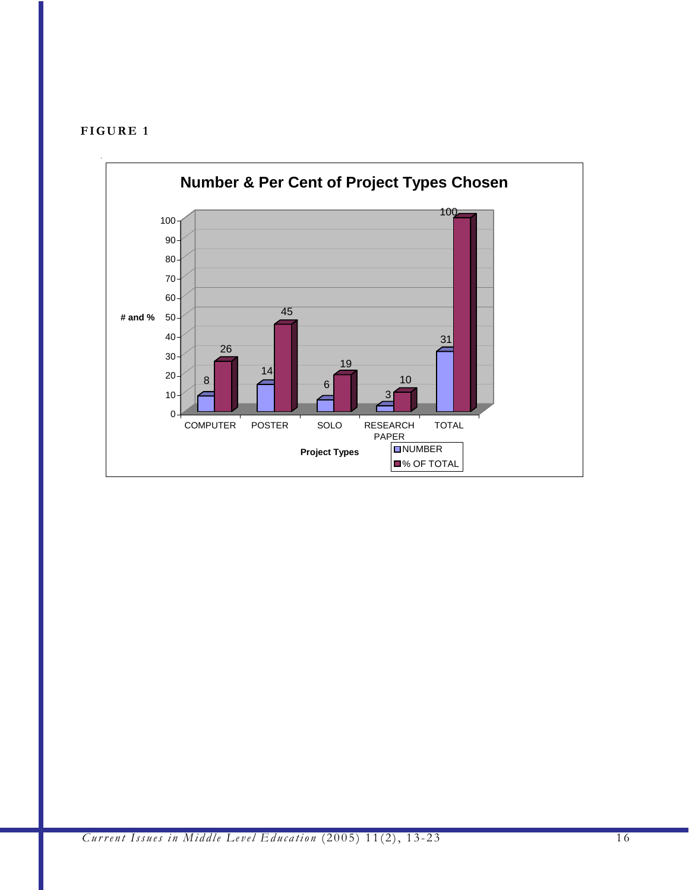

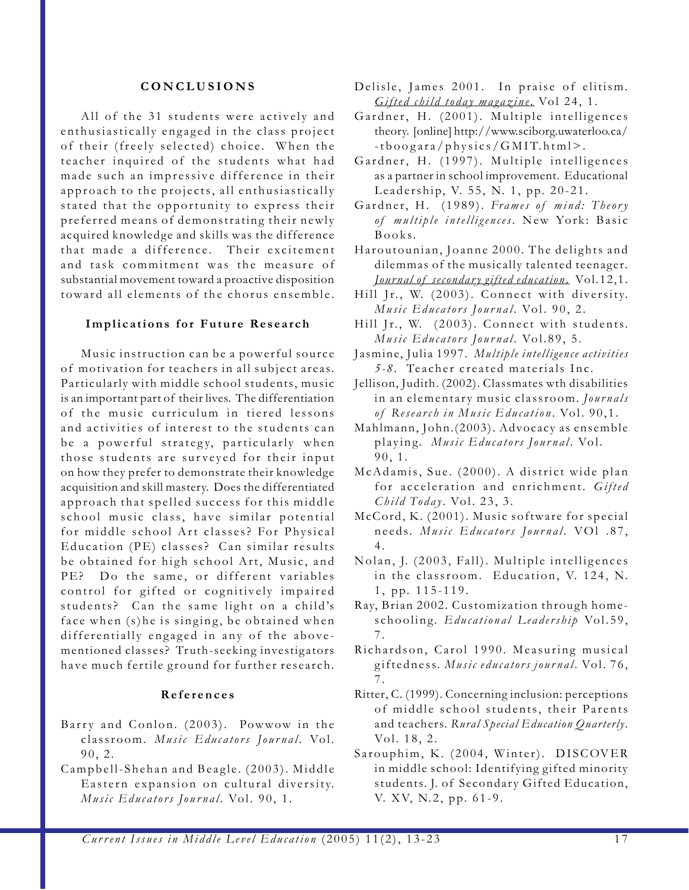#### **CONCLUSIONS**

All of the 31 students were actively and enthusiastically engaged in the class project of their (freely selected) choice. When the teacher inquired of the students what had made such an impressive difference in their approach to the projects, all enthusiastically stated that the opportunity to express their preferred means of demonstrating their newly acquired knowledge and skills was the difference that made a difference. Their excitement and task commitment was the measure of substantial movement toward a proactive disposition toward all elements of the chorus ensemble.

#### **Implications for Future Research**

Music instruction can be a powerful source of motivation for teachers in all subject areas. Particularly with middle school students, music is an important part of their lives. The differentiation of the music curriculum in tiered lessons and activities of interest to the students can be a powerful strategy, particularly when those students are surveyed for their input on how they prefer to demonstrate their knowledge acquisition and skill mastery. Does the differentiated approach that spelled success for this middle school music class, have similar potential for middle school Art classes? For Physical Education (PE) classes? Can similar results be obtained for high school Art, Music, and PE? Do the same, or different variables control for gifted or cognitively impaired students? Can the same light on a child's face when (s)he is singing, be obtained when differentially engaged in any of the abovementioned classes? Truth-seeking investigators have much fertile ground for further research.

#### **References**

- Barry and Conlon. (2003). Powwow in the classroom. *Music Educators Journal* . Vol. 90, 2.
- Campbell-Shehan and Beagle. (2003). Middle Eastern expansion on cultural diversity. *Music Educators Journal.* Vol. 90, 1.
- Delisle, James 2001. In praise of elitism*. Gifted child today magazine*. Vol 24, 1.
- Gardner, H. (2001). Multiple intelligences theory. [online] http://www.sciborg.uwaterloo.ca/ -tboogara/physics/GMIT.html>.
- Gardner, H. (1997). Multiple intelligences as a partner in school improvement. Educational Leadership, V. 55, N. 1, pp. 20-21.
- Gardner, H. (1989). *Frames of mind: Theory of multiple intelligences*. New York: Basic Books.
- Haroutounian, Joanne 2000. The delights and dilemmas of the musically talented teenager*. Jour nal of secondary gifted education*. Vol.12,1.
- Hill Jr., W. (2003). Connect with diversity. *Music Educators Journal.* Vol. 90, 2.
- Hill Jr., W. (2003). Connect with students. *Music Educators Journal.* Vol.89, 5.
- Jasmine, Julia 1997. *Multiple intelligence activities 5-8.* Teacher created materials Inc.
- Jellison, Judith. (2002). Classmates wth disabilities in an elementary music classroom. *Journals of Research in Music Education* . Vol. 90,1.
- Mahlmann, John.(2003). Advocacy as ensemble playing. *Music Educators Journal* . Vol. 90, 1.
- McAdamis, Sue. (2000). A district wide plan for acceleration and enrichment. *Gifted Child Today*. Vol. 23, 3.
- McCord, K. (2001). Music software for special needs. *Music Educators Journal* . VOl .87, 4 .
- Nolan, J. (2003, Fall). Multiple intelligences in the classroom. Education, V. 124, N. 1, pp. 115-119.
- Ray, Brian 2002. Customization through homeschooling. *Educational Leadership* Vol.59, 7 .
- Richardson, Carol 1990. Measuring musical giftedness. *Music educators journal* . Vol. 76, 7 .
- Ritter, C. (1999). Concerning inclusion: perceptions of middle school students, their Parents and teachers. *Rural Special Education Quarterly*. Vol. 18, 2.
- Sarouphim, K. (2004, Winter). DISCOVER in middle school: Identifying gifted minority students. J. of Secondary Gifted Education, V. XV, N.2, pp. 61-9.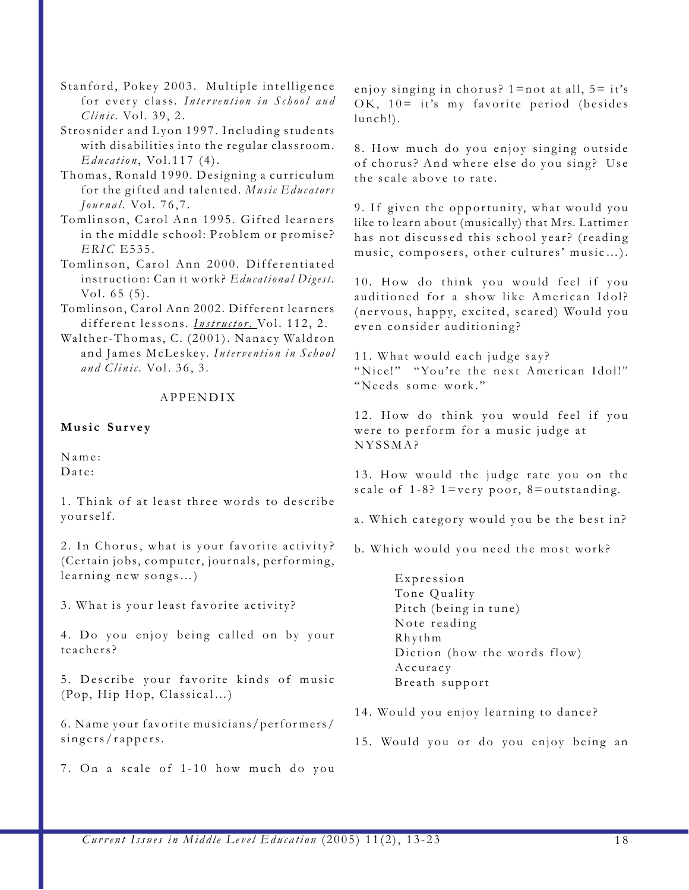- Stanford, Pokey 2003. Multiple intelligence for every class. *Intervention in School and Clinic.* Vol. 39, 2.
- Strosnider and Lyon 1997. Including students with disabilities into the regular classroom. *Education*, Vol.117 (4).
- Thomas, Ronald 1990. Designing a curriculum for the gifted and talented. *Music Educators Journal.* Vol. 76,7.
- Tomlinson, Carol Ann 1995. Gifted learners in the middle school: Problem or promise? *ERIC* E535.
- Tomlinson, Carol Ann 2000. Differentiated instruction: Can it work? *Educational Digest.* Vol. 65 (5).
- Tomlinson, Carol Ann 2002. Different learners different lessons. *Instructor*. Vol. 112, 2.
- Walther-Thomas, C. (2001). Nanacy Waldron and James McLeskey. *Intervention in School and Clinic.* Vol. 36, 3.

## APPENDIX

## **Music Survey**

Name: Date:

1. Think of at least three words to describe yourself.

2. In Chorus, what is your favorite activity? (Certain jobs, computer, journals, performing, learning new songs…)

3. What is your least favorite activity?

4. Do you enjoy being called on by your teachers?

5. Describe your favorite kinds of music (Pop, Hip Hop, Classical…)

6. Name your favorite musicians/performers/ singers/rappers.

7. On a scale of 1-10 how much do you

enjoy singing in chorus?  $1 =$ not at all,  $5 =$ it's OK, 10= it's my favorite period (besides lunch!).

8. How much do you enjoy singing outside of chorus? And where else do you sing? Use the scale above to rate.

9. If given the opportunity, what would you like to learn about (musically) that Mrs. Lattimer has not discussed this school year? (reading music, composers, other cultures' music…).

10. How do think you would feel if you auditioned for a show like American Idol? (ner vous, happy, excited, scared) Would you even consider auditioning?

11. What would each judge say? "Nice!" "You're the next American Idol!" "Needs some work."

12. How do think you would feel if you were to perform for a music judge at NYSSMA?

13. How would the judge rate you on the scale of  $1-8$ ?  $1=$ very poor,  $8=$ outstanding.

- a. Which category would you be the best in?
- b. Which would you need the most work?

Expression Tone Quality Pitch (being in tune) Note reading Rhythm Diction (how the words flow) Accuracy Breath support

- 14. Would you enjoy learning to dance?
- 15. Would you or do you enjoy being an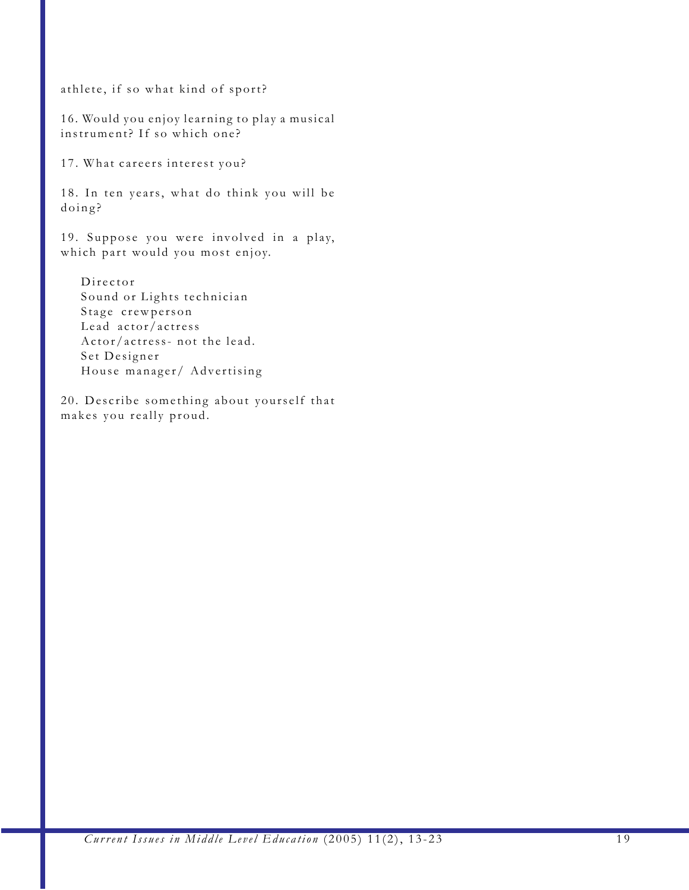athlete, if so what kind of sport?

16. Would you enjoy learning to play a musical instrument? If so which one?

17. What careers interest you?

18. In ten years, what do think you will be doing?

19. Suppose you were involved in a play, which part would you most enjoy.

Director Sound or Lights technician Stage crewperson Lead actor/actress Actor/actress- not the lead. Set Designer House manager/ Advertising

20. Describe something about yourself that makes you really proud.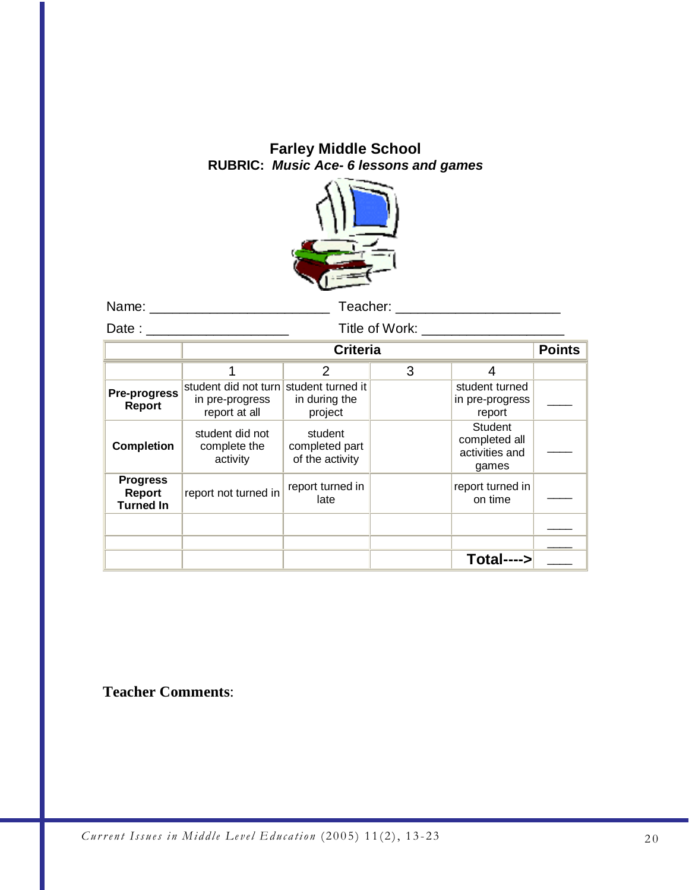## **Farley Middle School RUBRIC:** *Music Ace- 6 lessons and games*



Name: \_\_\_\_\_\_\_\_\_\_\_\_\_\_\_\_\_\_\_\_\_\_\_\_ Teacher: \_\_\_\_\_\_\_\_\_\_\_\_\_\_\_\_\_\_\_\_\_\_

Date : \_\_\_\_\_\_\_\_\_\_\_\_\_\_\_\_\_\_\_ Title of Work: \_\_\_\_\_\_\_\_\_\_\_\_\_\_\_\_\_\_\_

|                                               | <b>Criteria</b>                                                            |                                              |   |                                                            | <b>Points</b> |
|-----------------------------------------------|----------------------------------------------------------------------------|----------------------------------------------|---|------------------------------------------------------------|---------------|
|                                               |                                                                            | 2                                            | 3 | 4                                                          |               |
| Pre-progress<br>Report                        | student did not turn student turned it<br>in pre-progress<br>report at all | in during the<br>project                     |   | student turned<br>in pre-progress<br>report                |               |
| <b>Completion</b>                             | student did not<br>complete the<br>activity                                | student<br>completed part<br>of the activity |   | <b>Student</b><br>completed all<br>activities and<br>games |               |
| <b>Progress</b><br>Report<br><b>Turned In</b> | report not turned in                                                       | report turned in<br>late                     |   | report turned in<br>on time                                |               |
|                                               |                                                                            |                                              |   |                                                            |               |
|                                               |                                                                            |                                              |   |                                                            |               |
|                                               |                                                                            |                                              |   | Total---->                                                 |               |

**Teacher Comments**: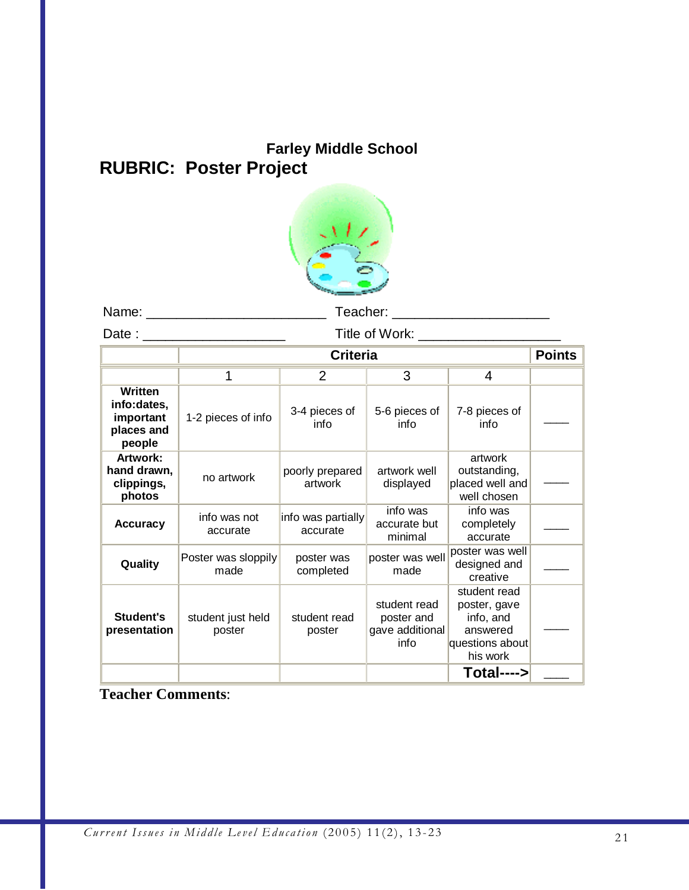# **Farley Middle School RUBRIC: Poster Project**



Name: \_\_\_\_\_\_\_\_\_\_\_\_\_\_\_\_\_\_\_\_\_\_\_\_ Teacher: \_\_\_\_\_\_\_\_\_\_\_\_\_\_\_\_\_\_\_\_\_

Date : \_\_\_\_\_\_\_\_\_\_\_\_\_\_\_\_\_\_\_ Title of Work: \_\_\_\_\_\_\_\_\_\_\_\_\_\_\_\_\_\_\_

|                                                                    | <b>Criteria</b>             |                                |                                                       |                                                                                      | <b>Points</b> |
|--------------------------------------------------------------------|-----------------------------|--------------------------------|-------------------------------------------------------|--------------------------------------------------------------------------------------|---------------|
|                                                                    |                             |                                |                                                       |                                                                                      |               |
|                                                                    |                             | 2                              | 3                                                     | 4                                                                                    |               |
| <b>Written</b><br>info:dates,<br>important<br>places and<br>people | 1-2 pieces of info          | 3-4 pieces of<br>info          | 5-6 pieces of<br>info                                 | 7-8 pieces of<br>info                                                                |               |
| Artwork:<br>hand drawn,<br>clippings,<br>photos                    | no artwork                  | poorly prepared<br>artwork     | artwork well<br>displayed                             | artwork<br>outstanding,<br>placed well and<br>well chosen                            |               |
| <b>Accuracy</b>                                                    | info was not<br>accurate    | info was partially<br>accurate | info was<br>accurate but<br>minimal                   | info was<br>completely<br>accurate                                                   |               |
| Quality                                                            | Poster was sloppily<br>made | poster was<br>completed        | poster was well<br>made                               | poster was well<br>designed and<br>creative                                          |               |
| Student's<br>presentation                                          | student just held<br>poster | student read<br>poster         | student read<br>poster and<br>gave additional<br>info | student read<br>poster, gave<br>info, and<br>answered<br>questions about<br>his work |               |
|                                                                    |                             |                                |                                                       | Total---->                                                                           |               |

## **Teacher Comments**: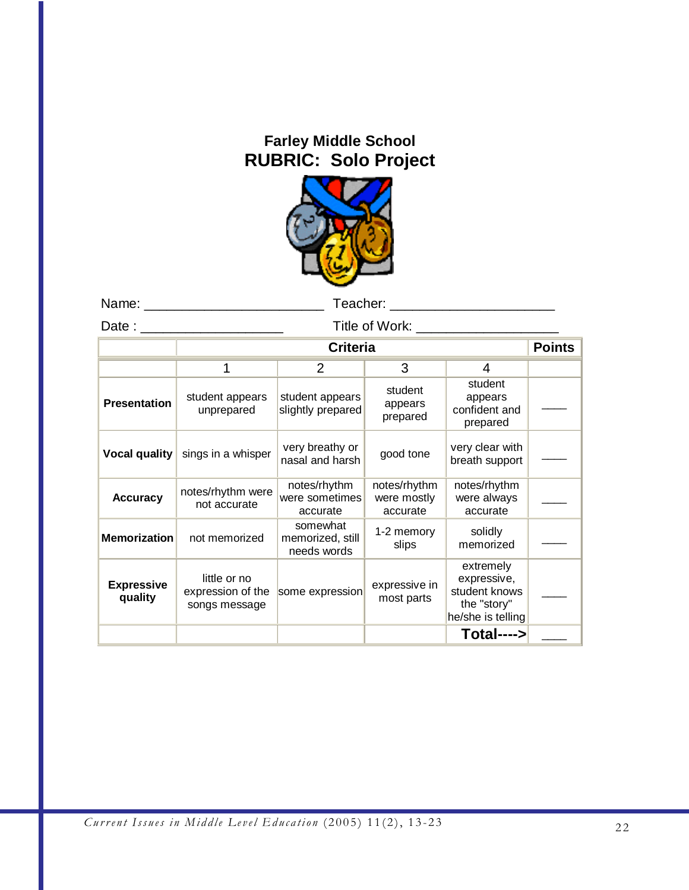## **Farley Middle School RUBRIC: Solo Project**



Name: \_\_\_\_\_\_\_\_\_\_\_\_\_\_\_\_\_\_\_\_\_\_\_\_ Teacher: \_\_\_\_\_\_\_\_\_\_\_\_\_\_\_\_\_\_\_\_\_\_

Date : \_\_\_\_\_\_\_\_\_\_\_\_\_\_\_\_\_\_\_ Title of Work: \_\_\_\_\_\_\_\_\_\_\_\_\_\_\_\_\_\_\_

|                              | <b>Criteria</b>                                    |                                             |                                         |                                                                               | <b>Points</b> |
|------------------------------|----------------------------------------------------|---------------------------------------------|-----------------------------------------|-------------------------------------------------------------------------------|---------------|
|                              |                                                    | 2                                           | 3                                       |                                                                               |               |
| <b>Presentation</b>          | student appears<br>unprepared                      | student appears<br>slightly prepared        | student<br>appears<br>prepared          | student<br>appears<br>confident and<br>prepared                               |               |
| Vocal quality                | sings in a whisper                                 | very breathy or<br>nasal and harsh          | good tone                               | very clear with<br>breath support                                             |               |
| <b>Accuracy</b>              | notes/rhythm were<br>not accurate                  | notes/rhythm<br>were sometimes<br>accurate  | notes/rhythm<br>were mostly<br>accurate | notes/rhythm<br>were always<br>accurate                                       |               |
| <b>Memorization</b>          | not memorized                                      | somewhat<br>memorized, still<br>needs words | 1-2 memory<br>slips                     | solidly<br>memorized                                                          |               |
| <b>Expressive</b><br>quality | little or no<br>expression of the<br>songs message | some expression                             | expressive in<br>most parts             | extremely<br>expressive,<br>student knows<br>the "story"<br>he/she is telling |               |
|                              |                                                    |                                             |                                         | Total---->                                                                    |               |